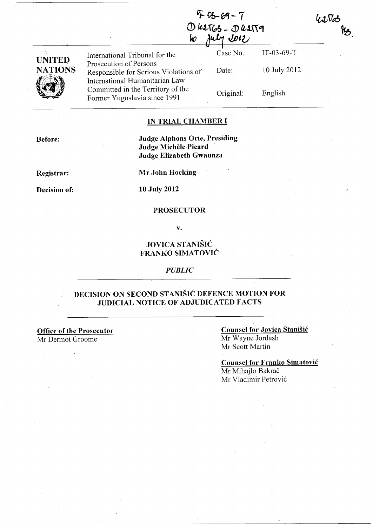|                          | $4 - 03 - 69 - 7$<br>$0$ $42763 - 04179$<br>U012<br>W                                             |           |              | 42563<br>kg |
|--------------------------|---------------------------------------------------------------------------------------------------|-----------|--------------|-------------|
|                          | International Tribunal for the                                                                    | Case No.  | $IT-03-69-T$ |             |
| UNITED<br><b>NATIONS</b> | Prosecution of Persons<br>Responsible for Serious Violations of<br>International Humanitarian Law | Date:     | 10 July 2012 |             |
|                          | Committed in the Territory of the<br>Former Yugoslavia since 1991                                 | Original: | English      |             |

#### IN TRIAL CHAMBER I

Before:

Judge Alphons Orie, Presiding Judge Michèle Picard Judge Elizabeth Gwaunza

Registrar:

Decision of:

Mr John Hocking

10 July 2012

#### **PROSECUTOR**

v.

### JOVICA STANIŠIĆ FRANKO SIMATOVIĆ

#### *PUBLIC*

### DECISION ON SECOND STANIŠIĆ DEFENCE MOTION FOR JUDICIAL NOTICE OF ADJUDICATED FACTS

Office of the Prosecutor Mr Dermot Groome

 $\mathcal{L}$ 

### Counsel for Jovica Stanišić Mr Wayne lordash Mr Scott Martin

Counsel for Franko Simatović Mr Mihajlo Bakrač Mr Vladimir Petrović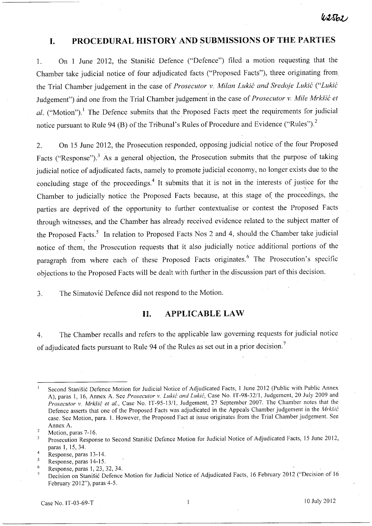## **I. PROCEDURAL HISTORY AND SUBMISSIONS OF THE PARTIES**

1. On 1 June 2012, the Stanišić Defence ("Defence") filed a motion requesting that the Chamber take judicial notice of four adjudicated facts ("Proposed Facts"), three originating from, the Trial Chamber judgement in the case of *Prosecutor v. Milan* Lukić *and Sredoje* Lukić ("Lukić Judgement") and one from the Trial Chamber judgement' in the case of *Prosecutor* v. *Mile* Mrkšić *et al.* ("Motion").<sup>1</sup> The Defence submits that the Proposed Facts meet the requirements for judicial notice pursuant to Rule 94 (B) of the Tribunal's Rules of Procedure and Evidence ("Rules").<sup>2</sup>

2. On 15 June 2012, the Prosecution responded, opposing judicial notice of the four Proposed Facts ("Response").<sup>3</sup> As a general objection, the Prosecution submits that the purpose of taking judicial notice of adjudicated facts, namely to promote judicial economy, no longer exists due to the concluding stage of the proceedings.<sup>4</sup> It submits that it is not in the interests of justice for the Chamber to judicially notice the Proposed Facts because, at this stage of the proceedings, the parties are deprived of the opportunity to further contextualise or contest the Proposed Facts through witnesses, and the Chamber has already received evidence related to the subject matter of the Proposed Facts.<sup>5</sup> In relation to Proposed Facts Nos 2 and 4, should the Chamber take judicial notice of them, the Prosecution requests that it also judicially notice additional portions of the paragraph from where each of these Proposed Facts originates.<sup>6</sup> The Prosecution's specific objections to the Proposed Facts will be dealt with further in the discussion part of this decision.

3. The Simatović Defence did not respond to the Motion.

#### **II. APPLICABLE LAW**

4. The Chamber recalls and refers to the applicable law governing requests for judicial notice of adjudicated facts pursuant to Rule 94 of the Rules as set out in a prior decision.<sup>7</sup>

Second Stanišić Defence Motion for Judicial Notice of Adjudicated Facts, l June 2012 (Public with Public Annex A), paras l, 16, Annex A. See *Prosecutor* v. Lukić *and* Lukić, Case No. IT *-98-3211,* Judgement, 20 July 2009 and *Prosecutor* v. Mrkšić *et al.,* Case No. IT-95-1311, Judgement, 27 September 2007. The Chamber notes that the Defence asserts that one of the Proposed Facts was adjudicated in the Appeals Chamber judgement in the Mrkšić case. See Motion, para. I. However, the Proposed Fact at issue originates from the Trial Chamber judgement. See Annex A.

 $\overline{2}$ Motion, paras 7-16.

Prosecution Response to Second Stanišić Defence Motion for Judicial Notice of Adjudicated Facts, 15 June 2012,  $\overline{3}$ paras I, 15, 34.

<sup>4</sup>  Response, paras 13-14.

 $\overline{5}$ Response, paras 14-15.

<sup>6</sup> Response, paras 1,23,32,34.

Decision on Stanišić Defence Motion for Judicial Notice of Adjudicated Facts, 16 February 2012 ("Decision of 16 February 2012"), paras 4-5.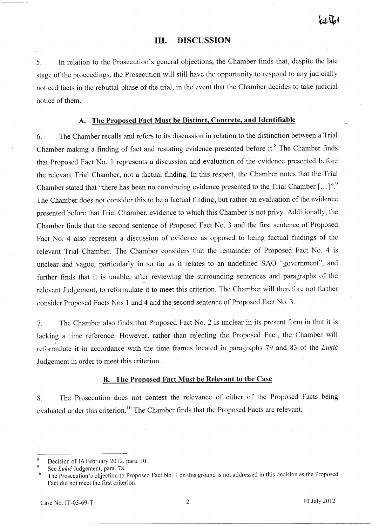#### **III. DISCUSSION**

5. In relation to the Prosecution's general objections, the Chamber finds that, despite the late stage of the proceedings, the Prosecution will still have the opportunity to respond to any judicially noticed facts in the rebuttal phase of the trial, in the event that the Chamber decides to take judicial notice of them.

## **A. The Proposed Fact Must be Distinct, Concrete, and Identifiable**

6. The Chamber recalls and refers to its discussion in relation to the distinction between a Trial Chamber making a finding of fact and restating evidence presented before it.<sup>8</sup> The Chamber finds that Proposed Fact No. 1 represents a discussion and evaluation of the evidence presented before the relevant Trial Chamber, not a factual finding. In this respect, the Chamber notes that the Trial Chamber stated that "there has been no convincing evidence presented to the Trial Chamber [...]".<sup>9</sup> The Chamber does not consider this to be a factual finding, but rather an evaluation of the evidence presented before that Trial Chamber, evidence to which this Chamber is not privy. Additionally, the Chamber finds that the second sentence of Proposed Fact No. 3 and the first sentence of Proposed Fact No. 4 also represent a discussion of evidence as opposed to being factual findings of the relevant Trial Chamber. The Chamber considers that the remainder of Proposed. Fact No. 4 is unclear and vague, particularly in so far as it relates to an undefined SAO "government", and further finds that it is unable, after reviewing the surrounding sentences and paragraphs of the relevant Judgement, to reformulate it to meet this criterion. The Chamber will therefore not further consider Proposed Facts Nos 1 and 4 and the second sentence of Proposed Fact No. 3.

7. The Chamber also finds that Proposed Fact No. 2 is unclear in its present form in that it is lacking a time reference. However, rather than rejecting the Proposed Fact, the Chamber will reformulate it in accordance with the time frames located in paragraphs 79 and 83 of the Lukić Judgement in order to meet this criterion.

#### **B. The Proposed Fact Must be Relevant to the Case**

8. The Prosecution does not contest the relevance of either of the Proposed Facts being evaluated under this criterion.<sup>10</sup> The Chamber finds that the Proposed Facts are relevant.

Decision of 16 February 2012, para. 10.

See Lukić Judgement, para. 78.

<sup>&</sup>lt;sup>10</sup> The Prosecution's objection to Proposed Fact No. 1 on this ground is not addressed in this decision as the Proposed Fact did not meet the first criterion.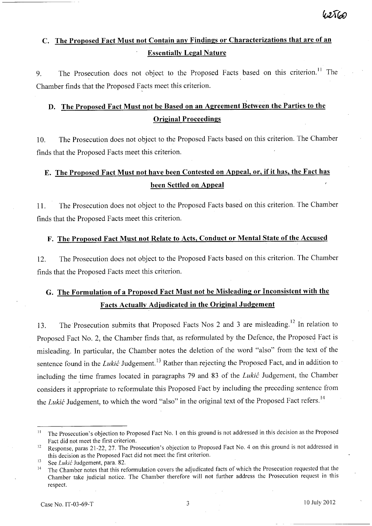# C. **The Proposed Fact Must not Contain any Findings or Characterizations that are of an Essentially Legal Nature**

9. The Prosecution does not object to the Proposed Facts based on this criterion.<sup>11</sup> The Chamber finds that the Proposed Facts meet this criterion.

## **D. The Proposed Fact Must not be Based on an Agreement Between the Parties to the Original Proceedings**

10. The Prosecution does not object to the Proposed Facts based on this criterion. The Chamber finds that the Proposed Facts meet this criterion.

# **E. The Proposed Fact Must not have been Contested on Appeal, or, if it has, the Fact has been Settled on Appeal**

11. The Prosecution does not object to the Proposed Facts based on this criterion. The Chamber finds that the Proposed Facts meet this criterion.

## F. The Proposed Fact Must not Relate to Acts, Conduct or Mental State of the Accused

12. The Prosecution does not object to the Proposed Facts based on this criterion. The Chamber finds that the Proposed Facts meet this criterion.

# **G. The Formulation of a Proposed Fact Must not be Misleading or Inconsistent with the Facts Actually Adjudicated in the Original Judgement**

13. The Prosecution submits that Proposed Facts Nos 2 and 3 are misleading.<sup>12</sup> In relation to Proposed Fact No. 2, the Chamber finds that, as reformulated by the Defence, the Proposed Fact is misleading. In particular, the Chamber notes the deletion of the word "also" from the text of the sentence found in the Lukić Judgement.<sup>13</sup> Rather than rejecting the Proposed Fact, and in addition to including the time frames located in paragraphs 79 and 83 of the Lukić Judgement, the Chamber considers it appropriate to reformulate this Proposed Fact by including the preceding sentence from the Lukić Judgement, to which the word "also" in the original text of the Proposed Fact refers.<sup>14</sup>

<sup>&</sup>lt;sup>11</sup> The Prosecution's objection to Proposed Fact No. 1 on this ground is not addressed in this decision as the Proposed Fact did not meet the first criterion.

<sup>&</sup>lt;sup>12</sup> Response, paras 21-22, 27. The Prosecution's objection to Proposed Fact No. 4 on this ground is not addressed in this decision as the Proposed Fact did not meet the first criterion.

 $13$  See Lukić Judgement, para. 82.

<sup>&</sup>lt;sup>14</sup> The Chamber notes that this reformulation covers the adjudicated facts of which the Prosecution requested that the Chamber take judicial notice. The Chamber therefore will not further address the Prosecution request in this respect.